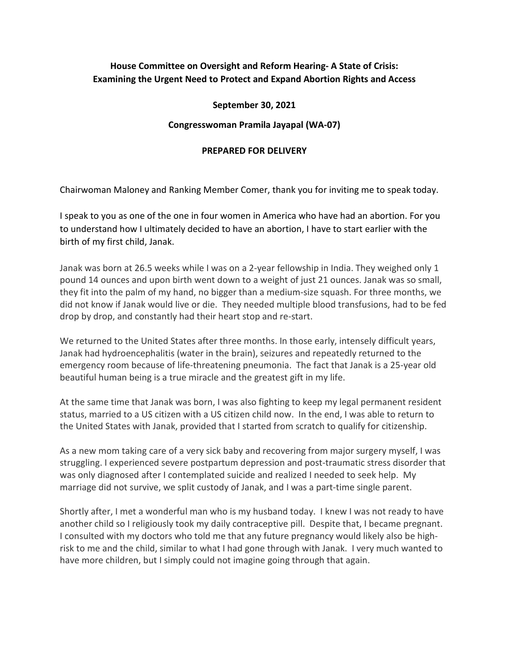## **House Committee on Oversight and Reform Hearing- A State of Crisis: Examining the Urgent Need to Protect and Expand Abortion Rights and Access**

## **September 30, 2021**

## **Congresswoman Pramila Jayapal (WA-07)**

## **PREPARED FOR DELIVERY**

Chairwoman Maloney and Ranking Member Comer, thank you for inviting me to speak today.

I speak to you as one of the one in four women in America who have had an abortion. For you to understand how I ultimately decided to have an abortion, I have to start earlier with the birth of my first child, Janak.

Janak was born at 26.5 weeks while I was on a 2-year fellowship in India. They weighed only 1 pound 14 ounces and upon birth went down to a weight of just 21 ounces. Janak was so small, they fit into the palm of my hand, no bigger than a medium-size squash. For three months, we did not know if Janak would live or die. They needed multiple blood transfusions, had to be fed drop by drop, and constantly had their heart stop and re-start.

We returned to the United States after three months. In those early, intensely difficult years, Janak had hydroencephalitis (water in the brain), seizures and repeatedly returned to the emergency room because of life-threatening pneumonia. The fact that Janak is a 25-year old beautiful human being is a true miracle and the greatest gift in my life.

At the same time that Janak was born, I was also fighting to keep my legal permanent resident status, married to a US citizen with a US citizen child now. In the end, I was able to return to the United States with Janak, provided that I started from scratch to qualify for citizenship.

As a new mom taking care of a very sick baby and recovering from major surgery myself, I was struggling. I experienced severe postpartum depression and post-traumatic stress disorder that was only diagnosed after I contemplated suicide and realized I needed to seek help. My marriage did not survive, we split custody of Janak, and I was a part-time single parent.

Shortly after, I met a wonderful man who is my husband today. I knew I was not ready to have another child so I religiously took my daily contraceptive pill. Despite that, I became pregnant. I consulted with my doctors who told me that any future pregnancy would likely also be highrisk to me and the child, similar to what I had gone through with Janak. I very much wanted to have more children, but I simply could not imagine going through that again.